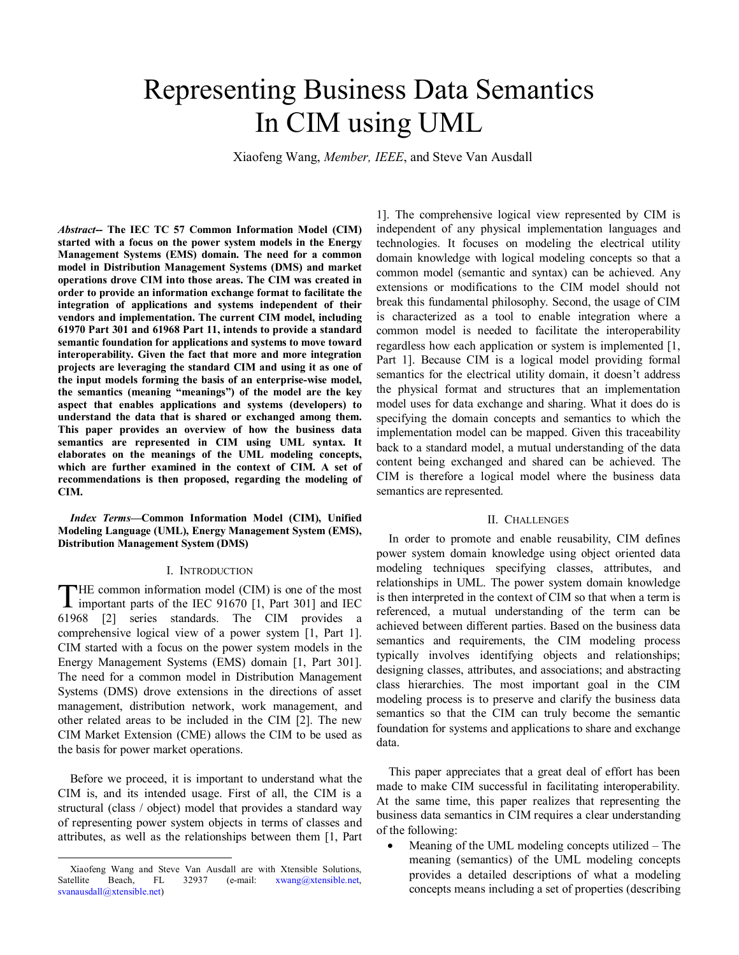# Representing Business Data Semantics In CIM using UML

Xiaofeng Wang, *Member, IEEE*, and Steve Van Ausdall

*Abstract***-- The IEC TC 57 Common Information Model (CIM) started with a focus on the power system models in the Energy Management Systems (EMS) domain. The need for a common model in Distribution Management Systems (DMS) and market operations drove CIM into those areas. The CIM was created in order to provide an information exchange format to facilitate the integration of applications and systems independent of their vendors and implementation. The current CIM model, including 61970 Part 301 and 61968 Part 11, intends to provide a standard semantic foundation for applications and systems to move toward interoperability. Given the fact that more and more integration projects are leveraging the standard CIM and using it as one of the input models forming the basis of an enterprise-wise model, the semantics (meaning "meanings") of the model are the key aspect that enables applications and systems (developers) to understand the data that is shared or exchanged among them. This paper provides an overview of how the business data semantics are represented in CIM using UML syntax. It elaborates on the meanings of the UML modeling concepts, which are further examined in the context of CIM. A set of recommendations is then proposed, regarding the modeling of CIM.** 

*Index Terms***—Common Information Model (CIM), Unified Modeling Language (UML), Energy Management System (EMS), Distribution Management System (DMS)** 

#### I. INTRODUCTION

THE common information model (CIM) is one of the most THE common information model (CIM) is one of the most<br>important parts of the IEC 91670 [1, Part 301] and IEC 61968 [2] series standards. The CIM provides a comprehensive logical view of a power system [1, Part 1]. CIM started with a focus on the power system models in the Energy Management Systems (EMS) domain [1, Part 301]. The need for a common model in Distribution Management Systems (DMS) drove extensions in the directions of asset management, distribution network, work management, and other related areas to be included in the CIM [2]. The new CIM Market Extension (CME) allows the CIM to be used as the basis for power market operations.

Before we proceed, it is important to understand what the CIM is, and its intended usage. First of all, the CIM is a structural (class / object) model that provides a standard way of representing power system objects in terms of classes and attributes, as well as the relationships between them [1, Part 1]. The comprehensive logical view represented by CIM is independent of any physical implementation languages and technologies. It focuses on modeling the electrical utility domain knowledge with logical modeling concepts so that a common model (semantic and syntax) can be achieved. Any extensions or modifications to the CIM model should not break this fundamental philosophy. Second, the usage of CIM is characterized as a tool to enable integration where a common model is needed to facilitate the interoperability regardless how each application or system is implemented [1, Part 1]. Because CIM is a logical model providing formal semantics for the electrical utility domain, it doesn't address the physical format and structures that an implementation model uses for data exchange and sharing. What it does do is specifying the domain concepts and semantics to which the implementation model can be mapped. Given this traceability back to a standard model, a mutual understanding of the data content being exchanged and shared can be achieved. The CIM is therefore a logical model where the business data semantics are represented.

# II. CHALLENGES

In order to promote and enable reusability, CIM defines power system domain knowledge using object oriented data modeling techniques specifying classes, attributes, and relationships in UML. The power system domain knowledge is then interpreted in the context of CIM so that when a term is referenced, a mutual understanding of the term can be achieved between different parties. Based on the business data semantics and requirements, the CIM modeling process typically involves identifying objects and relationships; designing classes, attributes, and associations; and abstracting class hierarchies. The most important goal in the CIM modeling process is to preserve and clarify the business data semantics so that the CIM can truly become the semantic foundation for systems and applications to share and exchange data.

This paper appreciates that a great deal of effort has been made to make CIM successful in facilitating interoperability. At the same time, this paper realizes that representing the business data semantics in CIM requires a clear understanding of the following:

• Meaning of the UML modeling concepts utilized – The meaning (semantics) of the UML modeling concepts provides a detailed descriptions of what a modeling concepts means including a set of properties (describing

Xiaofeng Wang and Steve Van Ausdall are with Xtensible Solutions, Satellite Beach, FL 32937 (e-mail: xwang@xtensible.net, svanausdall@xtensible.net)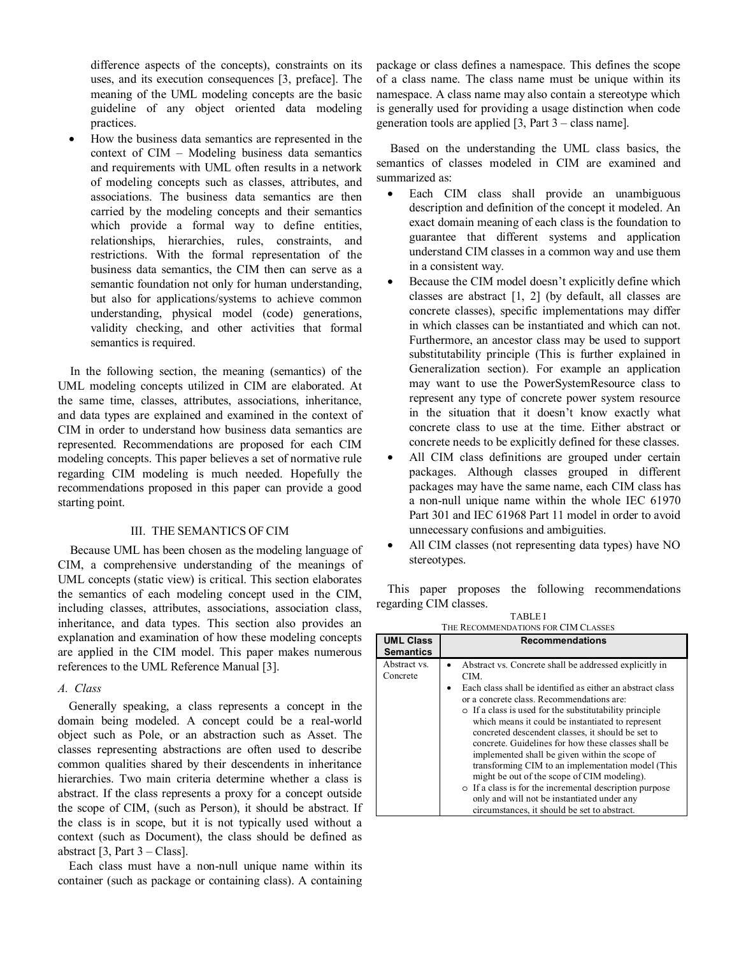difference aspects of the concepts), constraints on its uses, and its execution consequences [3, preface]. The meaning of the UML modeling concepts are the basic guideline of any object oriented data modeling practices.

• How the business data semantics are represented in the context of CIM – Modeling business data semantics and requirements with UML often results in a network of modeling concepts such as classes, attributes, and associations. The business data semantics are then carried by the modeling concepts and their semantics which provide a formal way to define entities, relationships, hierarchies, rules, constraints, and restrictions. With the formal representation of the business data semantics, the CIM then can serve as a semantic foundation not only for human understanding, but also for applications/systems to achieve common understanding, physical model (code) generations, validity checking, and other activities that formal semantics is required.

In the following section, the meaning (semantics) of the UML modeling concepts utilized in CIM are elaborated. At the same time, classes, attributes, associations, inheritance, and data types are explained and examined in the context of CIM in order to understand how business data semantics are represented. Recommendations are proposed for each CIM modeling concepts. This paper believes a set of normative rule regarding CIM modeling is much needed. Hopefully the recommendations proposed in this paper can provide a good starting point.

#### III. THE SEMANTICS OF CIM

Because UML has been chosen as the modeling language of CIM, a comprehensive understanding of the meanings of UML concepts (static view) is critical. This section elaborates the semantics of each modeling concept used in the CIM, including classes, attributes, associations, association class, inheritance, and data types. This section also provides an explanation and examination of how these modeling concepts are applied in the CIM model. This paper makes numerous references to the UML Reference Manual [3].

## *A. Class*

Generally speaking, a class represents a concept in the domain being modeled. A concept could be a real-world object such as Pole, or an abstraction such as Asset. The classes representing abstractions are often used to describe common qualities shared by their descendents in inheritance hierarchies. Two main criteria determine whether a class is abstract. If the class represents a proxy for a concept outside the scope of CIM, (such as Person), it should be abstract. If the class is in scope, but it is not typically used without a context (such as Document), the class should be defined as abstract  $[3, Part 3 - Class]$ .

Each class must have a non-null unique name within its container (such as package or containing class). A containing package or class defines a namespace. This defines the scope of a class name. The class name must be unique within its namespace. A class name may also contain a stereotype which is generally used for providing a usage distinction when code generation tools are applied  $[3, Part 3 - class name]$ .

 Based on the understanding the UML class basics, the semantics of classes modeled in CIM are examined and summarized as:

- Each CIM class shall provide an unambiguous description and definition of the concept it modeled. An exact domain meaning of each class is the foundation to guarantee that different systems and application understand CIM classes in a common way and use them in a consistent way.
- Because the CIM model doesn't explicitly define which classes are abstract [1, 2] (by default, all classes are concrete classes), specific implementations may differ in which classes can be instantiated and which can not. Furthermore, an ancestor class may be used to support substitutability principle (This is further explained in Generalization section). For example an application may want to use the PowerSystemResource class to represent any type of concrete power system resource in the situation that it doesn't know exactly what concrete class to use at the time. Either abstract or concrete needs to be explicitly defined for these classes.
- All CIM class definitions are grouped under certain packages. Although classes grouped in different packages may have the same name, each CIM class has a non-null unique name within the whole IEC 61970 Part 301 and IEC 61968 Part 11 model in order to avoid unnecessary confusions and ambiguities.
- All CIM classes (not representing data types) have NO stereotypes.

This paper proposes the following recommendations regarding CIM classes.

| <b>UML Class</b><br><b>Recommendations</b> |                                                                                                         |  |  |  |
|--------------------------------------------|---------------------------------------------------------------------------------------------------------|--|--|--|
| <b>Semantics</b>                           |                                                                                                         |  |  |  |
|                                            |                                                                                                         |  |  |  |
| Abstract vs.                               | Abstract vs. Concrete shall be addressed explicitly in                                                  |  |  |  |
| Concrete                                   | CIM.                                                                                                    |  |  |  |
|                                            | Each class shall be identified as either an abstract class<br>or a concrete class. Recommendations are: |  |  |  |
|                                            | o If a class is used for the substitutability principle                                                 |  |  |  |
|                                            | which means it could be instantiated to represent<br>concreted descendent classes, it should be set to  |  |  |  |
|                                            | concrete. Guidelines for how these classes shall be<br>implemented shall be given within the scope of   |  |  |  |
|                                            | transforming CIM to an implementation model (This                                                       |  |  |  |
|                                            | might be out of the scope of CIM modeling).                                                             |  |  |  |
|                                            | o If a class is for the incremental description purpose                                                 |  |  |  |
|                                            | only and will not be instantiated under any                                                             |  |  |  |
|                                            | circumstances, it should be set to abstract.                                                            |  |  |  |

TABLE I THE RECOMMENDATIONS FOR CIM CLASSES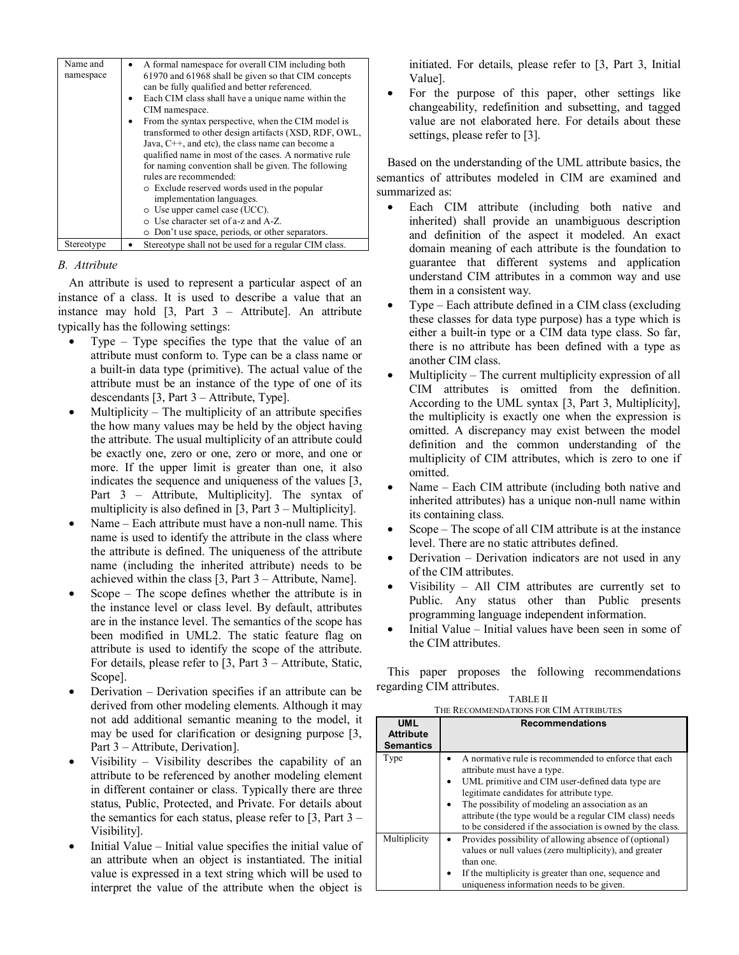| Name and   | A formal namespace for overall CIM including both     |
|------------|-------------------------------------------------------|
| namespace  | 61970 and 61968 shall be given so that CIM concepts   |
|            | can be fully qualified and better referenced.         |
|            | Each CIM class shall have a unique name within the    |
|            | CIM namespace.                                        |
|            | From the syntax perspective, when the CIM model is    |
|            | transformed to other design artifacts (XSD, RDF, OWL, |
|            | Java, $C++$ , and etc), the class name can become a   |
|            | qualified name in most of the cases. A normative rule |
|            | for naming convention shall be given. The following   |
|            | rules are recommended:                                |
|            | o Exclude reserved words used in the popular          |
|            | implementation languages.                             |
|            | o Use upper camel case (UCC).                         |
|            | o Use character set of a-z and A-Z.                   |
|            | o Don't use space, periods, or other separators.      |
| Stereotype | Stereotype shall not be used for a regular CIM class. |

## *B. Attribute*

An attribute is used to represent a particular aspect of an instance of a class. It is used to describe a value that an instance may hold [3, Part 3 – Attribute]. An attribute typically has the following settings:

- Type Type specifies the type that the value of an attribute must conform to. Type can be a class name or a built-in data type (primitive). The actual value of the attribute must be an instance of the type of one of its descendants [3, Part 3 – Attribute, Type].
- Multiplicity The multiplicity of an attribute specifies the how many values may be held by the object having the attribute. The usual multiplicity of an attribute could be exactly one, zero or one, zero or more, and one or more. If the upper limit is greater than one, it also indicates the sequence and uniqueness of the values [3, Part 3 – Attribute, Multiplicity]. The syntax of multiplicity is also defined in [3, Part 3 – Multiplicity].
- Name Each attribute must have a non-null name. This name is used to identify the attribute in the class where the attribute is defined. The uniqueness of the attribute name (including the inherited attribute) needs to be achieved within the class [3, Part 3 – Attribute, Name].
- Scope The scope defines whether the attribute is in the instance level or class level. By default, attributes are in the instance level. The semantics of the scope has been modified in UML2. The static feature flag on attribute is used to identify the scope of the attribute. For details, please refer to [3, Part 3 – Attribute, Static, Scope].
- Derivation Derivation specifies if an attribute can be derived from other modeling elements. Although it may not add additional semantic meaning to the model, it may be used for clarification or designing purpose [3, Part 3 – Attribute, Derivation].
- Visibility Visibility describes the capability of an attribute to be referenced by another modeling element in different container or class. Typically there are three status, Public, Protected, and Private. For details about the semantics for each status, please refer to [3, Part 3 – Visibility].
- Initial Value Initial value specifies the initial value of an attribute when an object is instantiated. The initial value is expressed in a text string which will be used to interpret the value of the attribute when the object is

initiated. For details, please refer to [3, Part 3, Initial Value].

• For the purpose of this paper, other settings like changeability, redefinition and subsetting, and tagged value are not elaborated here. For details about these settings, please refer to [3].

Based on the understanding of the UML attribute basics, the semantics of attributes modeled in CIM are examined and summarized as:

- Each CIM attribute (including both native and inherited) shall provide an unambiguous description and definition of the aspect it modeled. An exact domain meaning of each attribute is the foundation to guarantee that different systems and application understand CIM attributes in a common way and use them in a consistent way.
- Type Each attribute defined in a CIM class (excluding these classes for data type purpose) has a type which is either a built-in type or a CIM data type class. So far, there is no attribute has been defined with a type as another CIM class.
- Multiplicity The current multiplicity expression of all CIM attributes is omitted from the definition. According to the UML syntax [3, Part 3, Multiplicity], the multiplicity is exactly one when the expression is omitted. A discrepancy may exist between the model definition and the common understanding of the multiplicity of CIM attributes, which is zero to one if omitted.
- Name Each CIM attribute (including both native and inherited attributes) has a unique non-null name within its containing class.
- Scope The scope of all CIM attribute is at the instance level. There are no static attributes defined.
- Derivation Derivation indicators are not used in any of the CIM attributes.
- Visibility All CIM attributes are currently set to Public. Any status other than Public presents programming language independent information.
- Initial Value Initial values have been seen in some of the CIM attributes.

This paper proposes the following recommendations regarding CIM attributes. TABLE II

| THE RECOMMENDATIONS FOR CIM ATTRIBUTES             |                                                                                                                                                                                                                                                                                                                                                                   |  |  |
|----------------------------------------------------|-------------------------------------------------------------------------------------------------------------------------------------------------------------------------------------------------------------------------------------------------------------------------------------------------------------------------------------------------------------------|--|--|
| <b>UML</b><br><b>Attribute</b><br><b>Semantics</b> | <b>Recommendations</b>                                                                                                                                                                                                                                                                                                                                            |  |  |
| Type                                               | A normative rule is recommended to enforce that each<br>attribute must have a type.<br>UML primitive and CIM user-defined data type are<br>legitimate candidates for attribute type.<br>The possibility of modeling an association as an<br>attribute (the type would be a regular CIM class) needs<br>to be considered if the association is owned by the class. |  |  |
| Multiplicity                                       | Provides possibility of allowing absence of (optional)<br>values or null values (zero multiplicity), and greater<br>than one.<br>If the multiplicity is greater than one, sequence and<br>uniqueness information needs to be given.                                                                                                                               |  |  |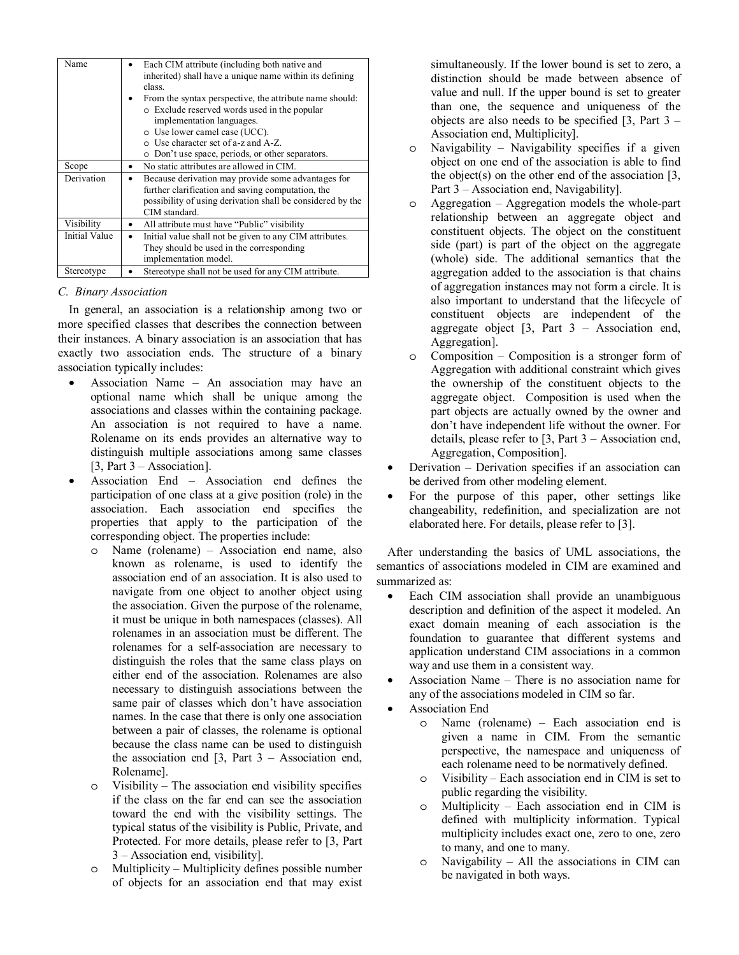| Name          | Each CIM attribute (including both native and<br>inherited) shall have a unique name within its defining<br>class.<br>From the syntax perspective, the attribute name should:<br>o Exclude reserved words used in the popular<br>implementation languages.<br>o Use lower camel case (UCC).<br>o Use character set of a-z and A-Z.<br>o Don't use space, periods, or other separators. |
|---------------|----------------------------------------------------------------------------------------------------------------------------------------------------------------------------------------------------------------------------------------------------------------------------------------------------------------------------------------------------------------------------------------|
| Scope         | No static attributes are allowed in CIM.                                                                                                                                                                                                                                                                                                                                               |
| Derivation    | Because derivation may provide some advantages for<br>further clarification and saving computation, the<br>possibility of using derivation shall be considered by the<br>CIM standard.                                                                                                                                                                                                 |
| Visibility    | All attribute must have "Public" visibility                                                                                                                                                                                                                                                                                                                                            |
| Initial Value | Initial value shall not be given to any CIM attributes.<br>They should be used in the corresponding<br>implementation model.                                                                                                                                                                                                                                                           |
| Stereotype    | Stereotype shall not be used for any CIM attribute.                                                                                                                                                                                                                                                                                                                                    |

# *C. Binary Association*

In general, an association is a relationship among two or more specified classes that describes the connection between their instances. A binary association is an association that has exactly two association ends. The structure of a binary association typically includes:

- Association Name An association may have an optional name which shall be unique among the associations and classes within the containing package. An association is not required to have a name. Rolename on its ends provides an alternative way to distinguish multiple associations among same classes [3, Part 3 – Association].
- Association End Association end defines the participation of one class at a give position (role) in the association. Each association end specifies the properties that apply to the participation of the corresponding object. The properties include:
	- o Name (rolename) Association end name, also known as rolename, is used to identify the association end of an association. It is also used to navigate from one object to another object using the association. Given the purpose of the rolename, it must be unique in both namespaces (classes). All rolenames in an association must be different. The rolenames for a self-association are necessary to distinguish the roles that the same class plays on either end of the association. Rolenames are also necessary to distinguish associations between the same pair of classes which don't have association names. In the case that there is only one association between a pair of classes, the rolename is optional because the class name can be used to distinguish the association end  $[3, Part 3 - Association end]$ Rolename].
	- o Visibility The association end visibility specifies if the class on the far end can see the association toward the end with the visibility settings. The typical status of the visibility is Public, Private, and Protected. For more details, please refer to [3, Part 3 – Association end, visibility].
	- o Multiplicity Multiplicity defines possible number of objects for an association end that may exist

simultaneously. If the lower bound is set to zero, a distinction should be made between absence of value and null. If the upper bound is set to greater than one, the sequence and uniqueness of the objects are also needs to be specified  $[3, Part 3 -]$ Association end, Multiplicity].

- o Navigability Navigability specifies if a given object on one end of the association is able to find the object(s) on the other end of the association [3, Part 3 – Association end, Navigability].
- o Aggregation Aggregation models the whole-part relationship between an aggregate object and constituent objects. The object on the constituent side (part) is part of the object on the aggregate (whole) side. The additional semantics that the aggregation added to the association is that chains of aggregation instances may not form a circle. It is also important to understand that the lifecycle of constituent objects are independent of the aggregate object  $[3, Part 3 - Association end]$ Aggregation].
- o Composition Composition is a stronger form of Aggregation with additional constraint which gives the ownership of the constituent objects to the aggregate object. Composition is used when the part objects are actually owned by the owner and don't have independent life without the owner. For details, please refer to [3, Part 3 – Association end, Aggregation, Composition].
- Derivation Derivation specifies if an association can be derived from other modeling element.
- For the purpose of this paper, other settings like changeability, redefinition, and specialization are not elaborated here. For details, please refer to [3].

After understanding the basics of UML associations, the semantics of associations modeled in CIM are examined and summarized as:

- Each CIM association shall provide an unambiguous description and definition of the aspect it modeled. An exact domain meaning of each association is the foundation to guarantee that different systems and application understand CIM associations in a common way and use them in a consistent way.
- Association Name There is no association name for any of the associations modeled in CIM so far.
- Association End
	- o Name (rolename) Each association end is given a name in CIM. From the semantic perspective, the namespace and uniqueness of each rolename need to be normatively defined.
	- o Visibility Each association end in CIM is set to public regarding the visibility.
	- o Multiplicity Each association end in CIM is defined with multiplicity information. Typical multiplicity includes exact one, zero to one, zero to many, and one to many.
	- o Navigability All the associations in CIM can be navigated in both ways.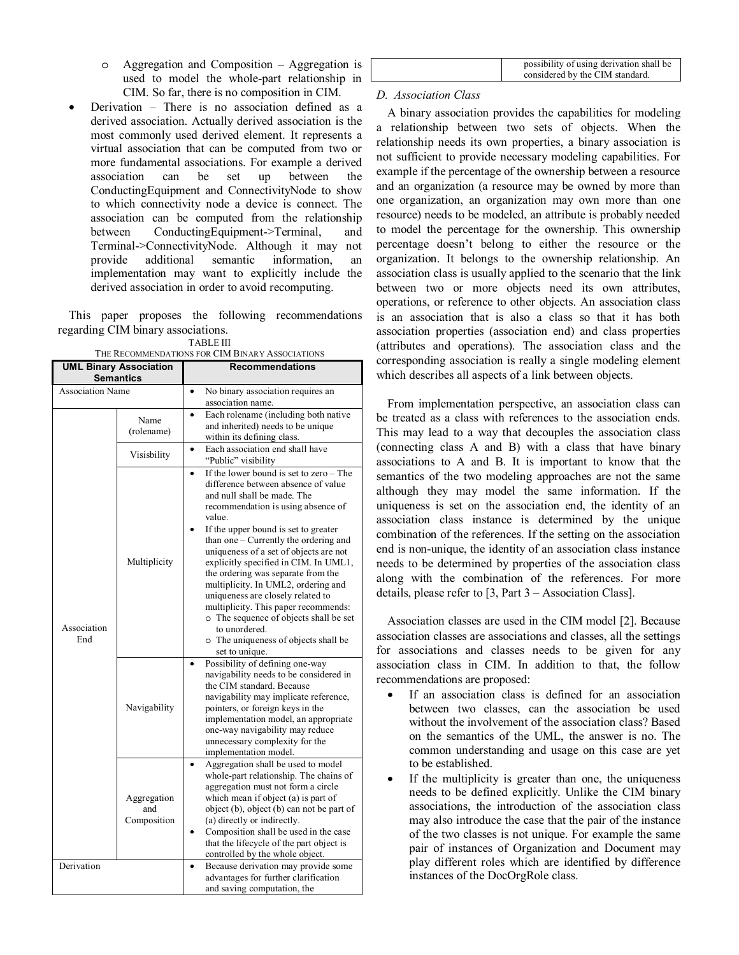- o Aggregation and Composition Aggregation is used to model the whole-part relationship in CIM. So far, there is no composition in CIM.
- Derivation There is no association defined as a derived association. Actually derived association is the most commonly used derived element. It represents a virtual association that can be computed from two or more fundamental associations. For example a derived association can be set up between the ConductingEquipment and ConnectivityNode to show to which connectivity node a device is connect. The association can be computed from the relationship between ConductingEquipment->Terminal, and Terminal->ConnectivityNode. Although it may not provide additional semantic information, an implementation may want to explicitly include the derived association in order to avoid recomputing.

This paper proposes the following recommendations regarding CIM binary associations.

| <b>TABLE III</b>                                |  |  |  |  |  |
|-------------------------------------------------|--|--|--|--|--|
| THE RECOMMENDATIONS FOR CIM BINARY ASSOCIATIONS |  |  |  |  |  |

| <b>UML Binary Association</b><br><b>Semantics</b> |                                   | <b>Recommendations</b>                                                                                                                                                                                                                                                                                                                                                                                                                                                                                                                                                                                             |
|---------------------------------------------------|-----------------------------------|--------------------------------------------------------------------------------------------------------------------------------------------------------------------------------------------------------------------------------------------------------------------------------------------------------------------------------------------------------------------------------------------------------------------------------------------------------------------------------------------------------------------------------------------------------------------------------------------------------------------|
| <b>Association Name</b>                           |                                   | $\bullet$<br>No binary association requires an<br>association name.                                                                                                                                                                                                                                                                                                                                                                                                                                                                                                                                                |
| Association<br>End<br>Derivation                  | Name<br>(rolename)                | Each rolename (including both native<br>and inherited) needs to be unique<br>within its defining class.                                                                                                                                                                                                                                                                                                                                                                                                                                                                                                            |
|                                                   | Visisbility                       | Each association end shall have<br>$\bullet$<br>"Public" visibility                                                                                                                                                                                                                                                                                                                                                                                                                                                                                                                                                |
|                                                   | Multiplicity                      | If the lower bound is set to zero $-$ The<br>difference between absence of value<br>and null shall be made. The<br>recommendation is using absence of<br>value.<br>If the upper bound is set to greater<br>than one - Currently the ordering and<br>uniqueness of a set of objects are not<br>explicitly specified in CIM. In UML1,<br>the ordering was separate from the<br>multiplicity. In UML2, ordering and<br>uniqueness are closely related to<br>multiplicity. This paper recommends:<br>o The sequence of objects shall be set<br>to unordered.<br>o The uniqueness of objects shall be<br>set to unique. |
|                                                   | Navigability                      | Possibility of defining one-way<br>$\bullet$<br>navigability needs to be considered in<br>the CIM standard. Because<br>navigability may implicate reference,<br>pointers, or foreign keys in the<br>implementation model, an appropriate<br>one-way navigability may reduce<br>unnecessary complexity for the<br>implementation model.                                                                                                                                                                                                                                                                             |
|                                                   | Aggregation<br>and<br>Composition | Aggregation shall be used to model<br>$\bullet$<br>whole-part relationship. The chains of<br>aggregation must not form a circle<br>which mean if object (a) is part of<br>object (b), object (b) can not be part of<br>(a) directly or indirectly.<br>Composition shall be used in the case<br>that the lifecycle of the part object is<br>controlled by the whole object.<br>Because derivation may provide some                                                                                                                                                                                                  |
|                                                   |                                   | advantages for further clarification<br>and saving computation, the                                                                                                                                                                                                                                                                                                                                                                                                                                                                                                                                                |

| possibility of using derivation shall be |  |
|------------------------------------------|--|
| considered by the CIM standard.          |  |

# *D. Association Class*

A binary association provides the capabilities for modeling a relationship between two sets of objects. When the relationship needs its own properties, a binary association is not sufficient to provide necessary modeling capabilities. For example if the percentage of the ownership between a resource and an organization (a resource may be owned by more than one organization, an organization may own more than one resource) needs to be modeled, an attribute is probably needed to model the percentage for the ownership. This ownership percentage doesn't belong to either the resource or the organization. It belongs to the ownership relationship. An association class is usually applied to the scenario that the link between two or more objects need its own attributes, operations, or reference to other objects. An association class is an association that is also a class so that it has both association properties (association end) and class properties (attributes and operations). The association class and the corresponding association is really a single modeling element which describes all aspects of a link between objects.

From implementation perspective, an association class can be treated as a class with references to the association ends. This may lead to a way that decouples the association class (connecting class A and B) with a class that have binary associations to A and B. It is important to know that the semantics of the two modeling approaches are not the same although they may model the same information. If the uniqueness is set on the association end, the identity of an association class instance is determined by the unique combination of the references. If the setting on the association end is non-unique, the identity of an association class instance needs to be determined by properties of the association class along with the combination of the references. For more details, please refer to [3, Part 3 – Association Class].

Association classes are used in the CIM model [2]. Because association classes are associations and classes, all the settings for associations and classes needs to be given for any association class in CIM. In addition to that, the follow recommendations are proposed:

- If an association class is defined for an association between two classes, can the association be used without the involvement of the association class? Based on the semantics of the UML, the answer is no. The common understanding and usage on this case are yet to be established.
- If the multiplicity is greater than one, the uniqueness needs to be defined explicitly. Unlike the CIM binary associations, the introduction of the association class may also introduce the case that the pair of the instance of the two classes is not unique. For example the same pair of instances of Organization and Document may play different roles which are identified by difference instances of the DocOrgRole class.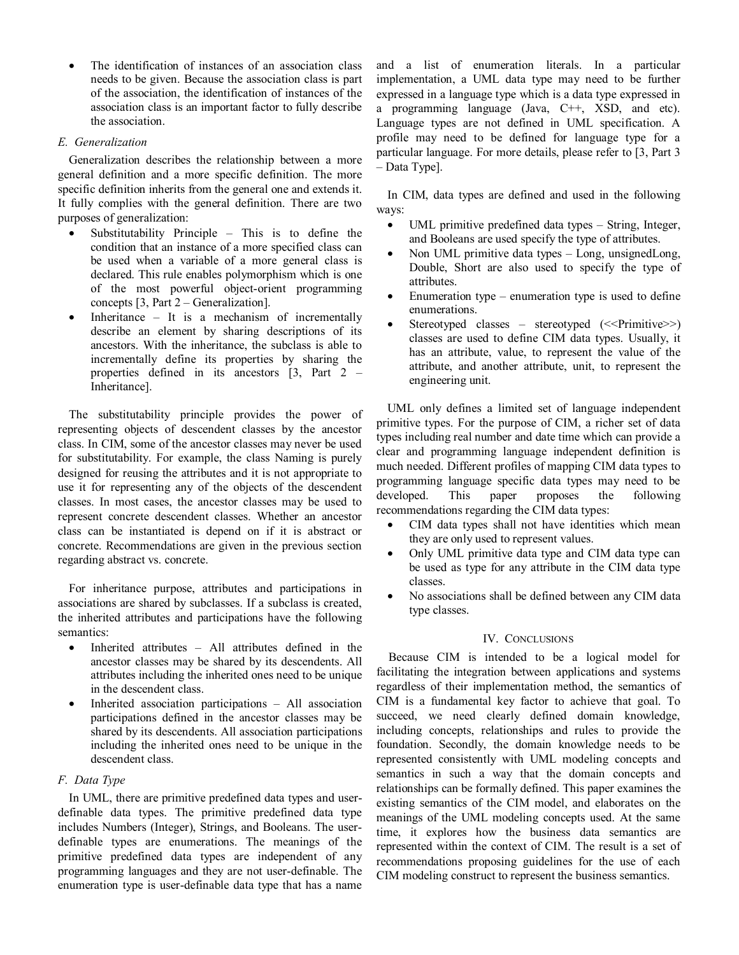The identification of instances of an association class needs to be given. Because the association class is part of the association, the identification of instances of the association class is an important factor to fully describe the association.

# *E. Generalization*

Generalization describes the relationship between a more general definition and a more specific definition. The more specific definition inherits from the general one and extends it. It fully complies with the general definition. There are two purposes of generalization:

- Substitutability Principle This is to define the condition that an instance of a more specified class can be used when a variable of a more general class is declared. This rule enables polymorphism which is one of the most powerful object-orient programming concepts [3, Part 2 – Generalization].
- Inheritance It is a mechanism of incrementally describe an element by sharing descriptions of its ancestors. With the inheritance, the subclass is able to incrementally define its properties by sharing the properties defined in its ancestors [3, Part 2 – Inheritance].

The substitutability principle provides the power of representing objects of descendent classes by the ancestor class. In CIM, some of the ancestor classes may never be used for substitutability. For example, the class Naming is purely designed for reusing the attributes and it is not appropriate to use it for representing any of the objects of the descendent classes. In most cases, the ancestor classes may be used to represent concrete descendent classes. Whether an ancestor class can be instantiated is depend on if it is abstract or concrete. Recommendations are given in the previous section regarding abstract vs. concrete.

For inheritance purpose, attributes and participations in associations are shared by subclasses. If a subclass is created, the inherited attributes and participations have the following semantics:

- Inherited attributes All attributes defined in the ancestor classes may be shared by its descendents. All attributes including the inherited ones need to be unique in the descendent class.
- Inherited association participations All association participations defined in the ancestor classes may be shared by its descendents. All association participations including the inherited ones need to be unique in the descendent class.

## *F. Data Type*

In UML, there are primitive predefined data types and userdefinable data types. The primitive predefined data type includes Numbers (Integer), Strings, and Booleans. The userdefinable types are enumerations. The meanings of the primitive predefined data types are independent of any programming languages and they are not user-definable. The enumeration type is user-definable data type that has a name

and a list of enumeration literals. In a particular implementation, a UML data type may need to be further expressed in a language type which is a data type expressed in a programming language (Java, C++, XSD, and etc). Language types are not defined in UML specification. A profile may need to be defined for language type for a particular language. For more details, please refer to [3, Part 3 – Data Type].

In CIM, data types are defined and used in the following ways:

- UML primitive predefined data types String, Integer, and Booleans are used specify the type of attributes.
- Non UML primitive data types Long, unsignedLong, Double, Short are also used to specify the type of attributes.
- Enumeration type enumeration type is used to define enumerations.
- Stereotyped classes stereotyped  $(\leq Primitive\geq)$ classes are used to define CIM data types. Usually, it has an attribute, value, to represent the value of the attribute, and another attribute, unit, to represent the engineering unit.

UML only defines a limited set of language independent primitive types. For the purpose of CIM, a richer set of data types including real number and date time which can provide a clear and programming language independent definition is much needed. Different profiles of mapping CIM data types to programming language specific data types may need to be developed. This paper proposes the following recommendations regarding the CIM data types:

- CIM data types shall not have identities which mean they are only used to represent values.
- Only UML primitive data type and CIM data type can be used as type for any attribute in the CIM data type classes.
- No associations shall be defined between any CIM data type classes.

# IV. CONCLUSIONS

Because CIM is intended to be a logical model for facilitating the integration between applications and systems regardless of their implementation method, the semantics of CIM is a fundamental key factor to achieve that goal. To succeed, we need clearly defined domain knowledge, including concepts, relationships and rules to provide the foundation. Secondly, the domain knowledge needs to be represented consistently with UML modeling concepts and semantics in such a way that the domain concepts and relationships can be formally defined. This paper examines the existing semantics of the CIM model, and elaborates on the meanings of the UML modeling concepts used. At the same time, it explores how the business data semantics are represented within the context of CIM. The result is a set of recommendations proposing guidelines for the use of each CIM modeling construct to represent the business semantics.